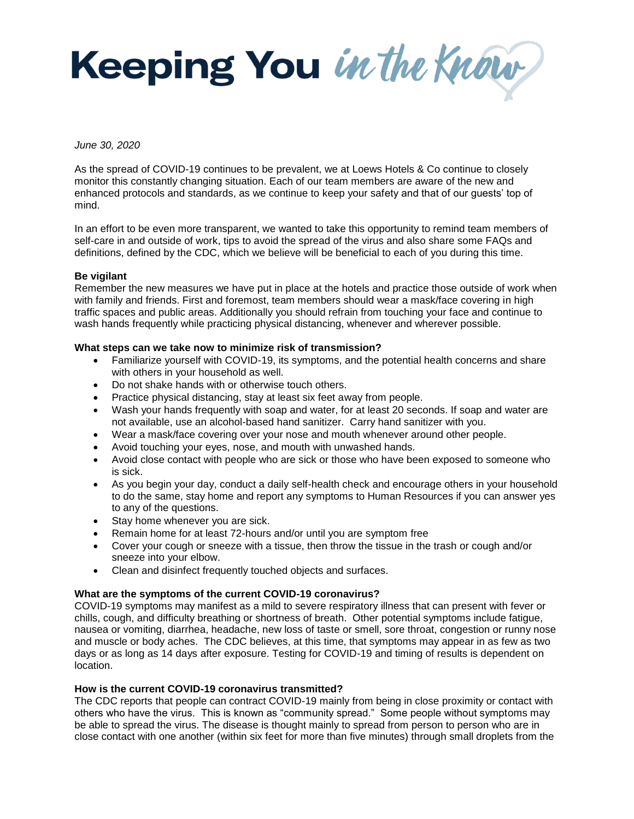Keeping You in the Know

## *June 30, 2020*

As the spread of COVID-19 continues to be prevalent, we at Loews Hotels & Co continue to closely monitor this constantly changing situation. Each of our team members are aware of the new and enhanced protocols and standards, as we continue to keep your safety and that of our guests' top of mind.

In an effort to be even more transparent, we wanted to take this opportunity to remind team members of self-care in and outside of work, tips to avoid the spread of the virus and also share some FAQs and definitions, defined by the CDC, which we believe will be beneficial to each of you during this time.

## **Be vigilant**

Remember the new measures we have put in place at the hotels and practice those outside of work when with family and friends. First and foremost, team members should wear a mask/face covering in high traffic spaces and public areas. Additionally you should refrain from touching your face and continue to wash hands frequently while practicing physical distancing, whenever and wherever possible.

## **What steps can we take now to minimize risk of transmission?**

- Familiarize yourself with COVID-19, its symptoms, and the potential health concerns and share with others in your household as well.
- Do not shake hands with or otherwise touch others.
- Practice physical distancing, stay at least six feet away from people.
- Wash your hands frequently with soap and water, for at least 20 seconds. If soap and water are not available, use an alcohol-based hand sanitizer. Carry hand sanitizer with you.
- Wear a mask/face covering over your nose and mouth whenever around other people.
- Avoid touching your eyes, nose, and mouth with unwashed hands.
- Avoid close contact with people who are sick or those who have been exposed to someone who is sick.
- As you begin your day, conduct a daily self-health check and encourage others in your household to do the same, stay home and report any symptoms to Human Resources if you can answer yes to any of the questions.
- Stay home whenever you are sick.
- Remain home for at least 72-hours and/or until you are symptom free
- Cover your cough or sneeze with a tissue, then throw the tissue in the trash or cough and/or sneeze into your elbow.
- Clean and disinfect frequently touched objects and surfaces.

### **What are the symptoms of the current COVID-19 coronavirus?**

COVID-19 symptoms may manifest as a mild to severe respiratory illness that can present with fever or chills, cough, and difficulty breathing or shortness of breath. Other potential symptoms include fatigue, nausea or vomiting, diarrhea, headache, new loss of taste or smell, sore throat, congestion or runny nose and muscle or body aches. The CDC believes, at this time, that symptoms may appear in as few as two days or as long as 14 days after exposure. Testing for COVID-19 and timing of results is dependent on location.

## **How is the current COVID-19 coronavirus transmitted?**

The CDC reports that people can contract COVID-19 mainly from being in close proximity or contact with others who have the virus. This is known as "community spread." Some people without symptoms may be able to spread the virus. The disease is thought mainly to spread from person to person who are in close contact with one another (within six feet for more than five minutes) through small droplets from the